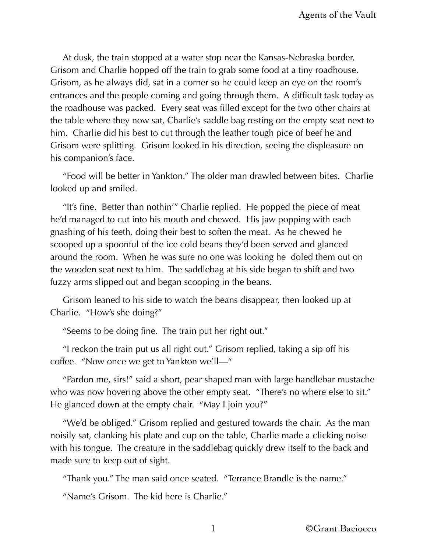At dusk, the train stopped at a water stop near the Kansas-Nebraska border, Grisom and Charlie hopped off the train to grab some food at a tiny roadhouse. Grisom, as he always did, sat in a corner so he could keep an eye on the room's entrances and the people coming and going through them. A difficult task today as the roadhouse was packed. Every seat was filled except for the two other chairs at the table where they now sat, Charlie's saddle bag resting on the empty seat next to him. Charlie did his best to cut through the leather tough pice of beef he and Grisom were splitting. Grisom looked in his direction, seeing the displeasure on his companion's face.

"Food will be better in Yankton." The older man drawled between bites. Charlie looked up and smiled.

"It's fine. Better than nothin'" Charlie replied. He popped the piece of meat he'd managed to cut into his mouth and chewed. His jaw popping with each gnashing of his teeth, doing their best to soften the meat. As he chewed he scooped up a spoonful of the ice cold beans they'd been served and glanced around the room. When he was sure no one was looking he doled them out on the wooden seat next to him. The saddlebag at his side began to shift and two fuzzy arms slipped out and began scooping in the beans.

Grisom leaned to his side to watch the beans disappear, then looked up at Charlie. "How's she doing?"

"Seems to be doing fine. The train put her right out."

"I reckon the train put us all right out." Grisom replied, taking a sip off his coffee. "Now once we get to Yankton we'll—"

"Pardon me, sirs!" said a short, pear shaped man with large handlebar mustache who was now hovering above the other empty seat. "There's no where else to sit." He glanced down at the empty chair. "May I join you?"

"We'd be obliged." Grisom replied and gestured towards the chair. As the man noisily sat, clanking his plate and cup on the table, Charlie made a clicking noise with his tongue. The creature in the saddlebag quickly drew itself to the back and made sure to keep out of sight.

"Thank you." The man said once seated. "Terrance Brandle is the name."

"Name's Grisom. The kid here is Charlie."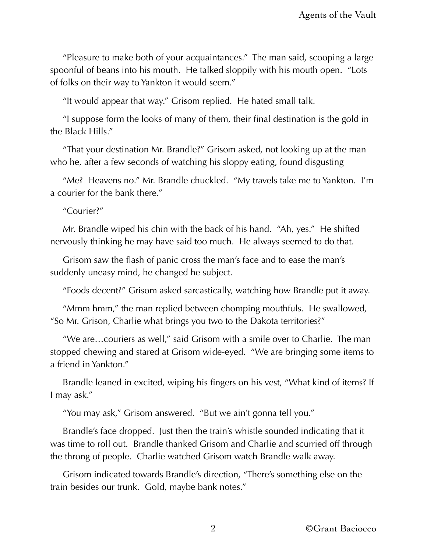"Pleasure to make both of your acquaintances." The man said, scooping a large spoonful of beans into his mouth. He talked sloppily with his mouth open. "Lots of folks on their way to Yankton it would seem."

"It would appear that way." Grisom replied. He hated small talk.

"I suppose form the looks of many of them, their final destination is the gold in the Black Hills."

"That your destination Mr. Brandle?" Grisom asked, not looking up at the man who he, after a few seconds of watching his sloppy eating, found disgusting

"Me? Heavens no." Mr. Brandle chuckled. "My travels take me to Yankton. I'm a courier for the bank there."

"Courier?"

Mr. Brandle wiped his chin with the back of his hand. "Ah, yes." He shifted nervously thinking he may have said too much. He always seemed to do that.

Grisom saw the flash of panic cross the man's face and to ease the man's suddenly uneasy mind, he changed he subject.

"Foods decent?" Grisom asked sarcastically, watching how Brandle put it away.

"Mmm hmm," the man replied between chomping mouthfuls. He swallowed, "So Mr. Grison, Charlie what brings you two to the Dakota territories?"

"We are…couriers as well," said Grisom with a smile over to Charlie. The man stopped chewing and stared at Grisom wide-eyed. "We are bringing some items to a friend in Yankton."

Brandle leaned in excited, wiping his fingers on his vest, "What kind of items? If I may ask."

"You may ask," Grisom answered. "But we ain't gonna tell you."

Brandle's face dropped. Just then the train's whistle sounded indicating that it was time to roll out. Brandle thanked Grisom and Charlie and scurried off through the throng of people. Charlie watched Grisom watch Brandle walk away.

Grisom indicated towards Brandle's direction, "There's something else on the train besides our trunk. Gold, maybe bank notes."